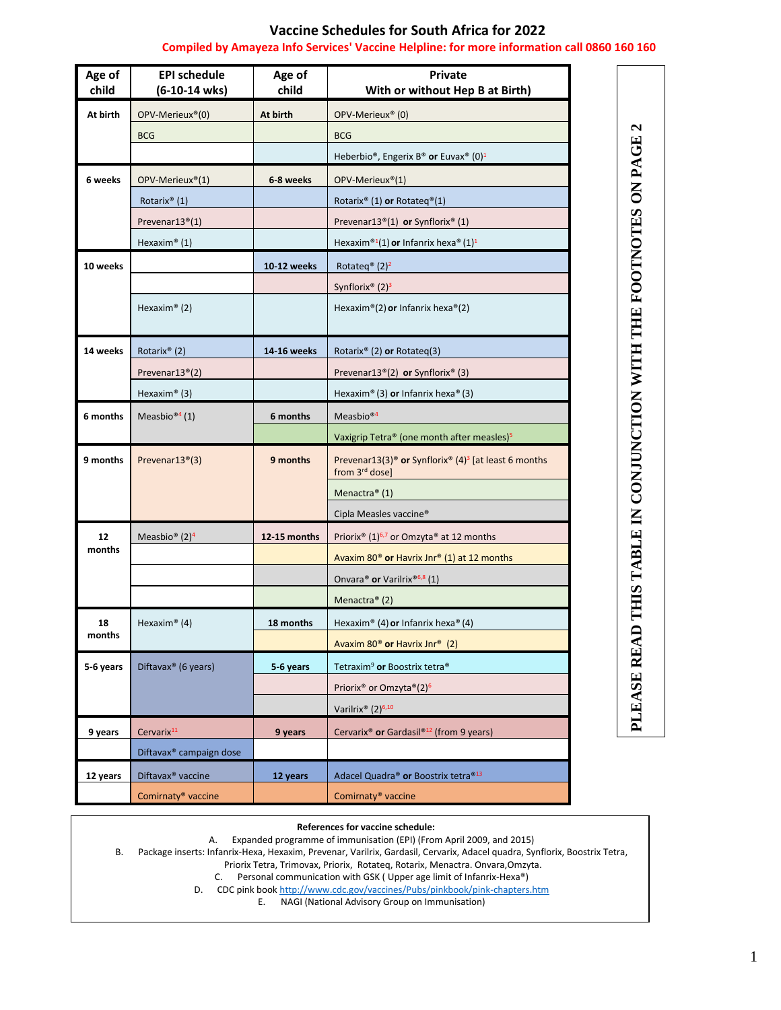## **Vaccine Schedules for South Africa for 2022**

## **Compiled by Amayeza Info Services' Vaccine Helpline: for more information call 0860 160 160**

| Age of<br>child | <b>EPI schedule</b><br>(6-10-14 wks) | Age of<br>child | <b>Private</b><br>With or without Hep B at Birth)                                                                      |
|-----------------|--------------------------------------|-----------------|------------------------------------------------------------------------------------------------------------------------|
| At birth        | OPV-Merieux <sup>®</sup> (0)         | At birth        | OPV-Merieux <sup>®</sup> (0)                                                                                           |
|                 | <b>BCG</b>                           |                 | <b>BCG</b>                                                                                                             |
|                 |                                      |                 | Heberbio®, Engerix B® or Euvax® (0) <sup>1</sup>                                                                       |
| 6 weeks         | OPV-Merieux®(1)                      | 6-8 weeks       | OPV-Merieux®(1)                                                                                                        |
|                 | Rotarix <sup>®</sup> (1)             |                 | Rotarix <sup>®</sup> (1) or Rotateq <sup>®</sup> (1)                                                                   |
|                 | Prevenar13 <sup>®</sup> (1)          |                 | Prevenar13 <sup>®</sup> (1) or Synflorix <sup>®</sup> (1)                                                              |
|                 | Hexaxim® $(1)$                       |                 | Hexaxim®1(1) or Infanrix hexa® (1) <sup>1</sup>                                                                        |
| 10 weeks        |                                      | 10-12 weeks     | Rotateg <sup>®</sup> (2) <sup>2</sup>                                                                                  |
|                 |                                      |                 | Synflorix <sup>®</sup> $(2)3$                                                                                          |
|                 | Hexaxim® $(2)$                       |                 | Hexaxim®(2) or Infanrix hexa®(2)                                                                                       |
|                 |                                      |                 |                                                                                                                        |
| 14 weeks        | Rotarix <sup>®</sup> (2)             | 14-16 weeks     | Rotarix® (2) or Rotateg(3)                                                                                             |
|                 | Prevenar13 <sup>®</sup> (2)          |                 | Prevenar13 <sup>®</sup> (2) or Synflorix <sup>®</sup> (3)                                                              |
|                 | Hexaxim <sup>®</sup> (3)             |                 | Hexaxim® (3) or Infanrix hexa® (3)                                                                                     |
| 6 months        | Measbio <sup>®4</sup> (1)            | 6 months        | Measbio <sup>®4</sup>                                                                                                  |
|                 |                                      |                 | Vaxigrip Tetra® (one month after measles) <sup>5</sup>                                                                 |
| 9 months        | Prevenar13 <sup>®</sup> (3)          | 9 months        | Prevenar13(3) <sup>®</sup> or Synflorix <sup>®</sup> (4) <sup>3</sup> [at least 6 months<br>from 3 <sup>rd</sup> dose] |
|                 |                                      |                 | Menactra® (1)                                                                                                          |
|                 |                                      |                 | Cipla Measles vaccine <sup>®</sup>                                                                                     |
| 12<br>months    | Measbio <sup>®</sup> $(2)^4$         | 12-15 months    | Priorix <sup>®</sup> (1) <sup>6,7</sup> or Omzyta® at 12 months                                                        |
|                 |                                      |                 | Avaxim 80 <sup>®</sup> or Havrix Jnr® (1) at 12 months                                                                 |
|                 |                                      |                 | Onvara® or Varilrix®6,8 (1)                                                                                            |
|                 |                                      |                 | Menactra® (2)                                                                                                          |
| 18<br>months    | Hexaxim® $(4)$                       | 18 months       | Hexaxim® (4) or Infanrix hexa® (4)                                                                                     |
|                 |                                      |                 | Avaxim 80 <sup>®</sup> or Havrix Jnr® (2)                                                                              |
| 5-6 years       | Diftavax® (6 years)                  | 5-6 years       | Tetraxim <sup>9</sup> or Boostrix tetra <sup>®</sup>                                                                   |
|                 |                                      |                 | Priorix <sup>®</sup> or Omzyta <sup>®</sup> (2) <sup>6</sup>                                                           |
|                 |                                      |                 | Varilrix® (2) <sup>6,10</sup>                                                                                          |
| 9 years         | Cervarix <sup>11</sup>               | 9 years         | Cervarix <sup>®</sup> or Gardasil <sup>®12</sup> (from 9 years)                                                        |
|                 | Diftavax <sup>®</sup> campaign dose  |                 |                                                                                                                        |
| 12 years        | Diftavax <sup>®</sup> vaccine        | 12 years        | Adacel Quadra® or Boostrix tetra®13                                                                                    |
|                 | Comirnaty <sup>®</sup> vaccine       |                 | Comirnaty <sup>®</sup> vaccine                                                                                         |
|                 |                                      |                 |                                                                                                                        |

## **References for vaccine schedule:**

A. Expanded programme of immunisation (EPI) (From April 2009, and 2015)

B. Package inserts: Infanrix-Hexa, Hexaxim, Prevenar, Varilrix, Gardasil, Cervarix, Adacel quadra, Synflorix, Boostrix Tetra,

Priorix Tetra, Trimovax, Priorix, Rotateq, Rotarix, Menactra. Onvara,Omzyta.

C. Personal communication with GSK ( Upper age limit of Infanrix-Hexa®)

D. CDC pink boo[k http://www.cdc.gov/vaccines/Pubs/pinkbook/pink-chapters.htm](http://www.cdc.gov/vaccines/Pubs/pinkbook/pink-chapters.htm)

E. NAGI (National Advisory Group on Immunisation)